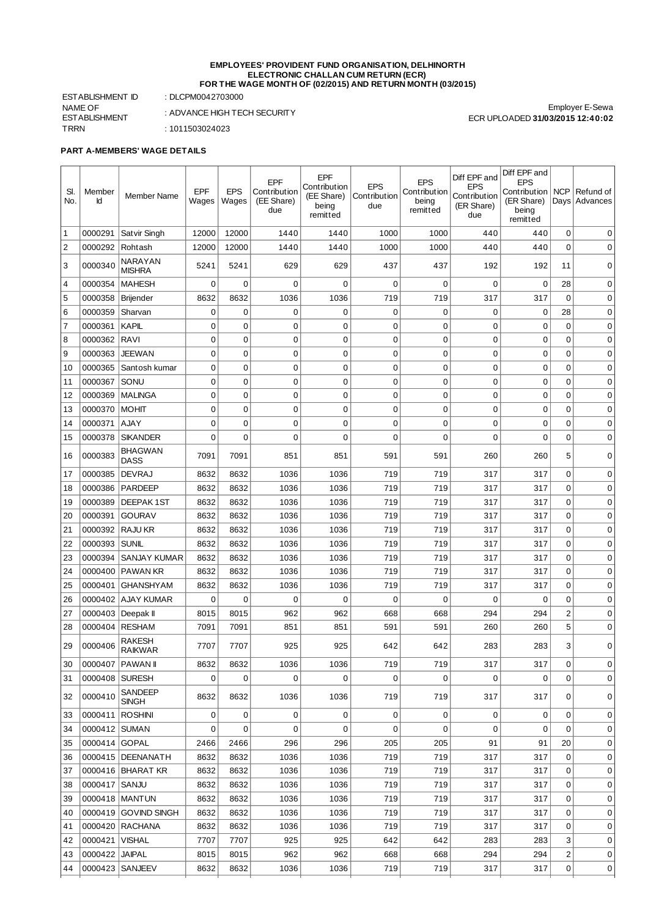#### **EMPLOYEES' PROVIDENT FUND ORGANISATION, DELHINORTH ELECTRONIC CHALLAN CUM RETURN (ECR) FOR THE WAGE MONTH OF (02/2015) AND RETURN MONTH (03/2015)**

ESTABLISHMENT ID : DLCPM0042703000 NAME OF ESTABLISHMENT TRRN : 1011503024023

 $\overline{a}$  $\overline{a}$  : ADVANCE HIGH TECH SECURITY

Employer E-Sewa ECR UPLOADED **31/03/2015 12:40:02**

## **PART A-MEMBERS' WAGE DETAILS**

| SI.<br>No.     | Member<br>Ιd        | Member Name                    | <b>EPF</b><br>Wages | <b>EPS</b><br>Wages        | EPF<br>Contribution<br>(EE Share)<br>due | EPF<br>Contribution<br>(EE Share)<br>being<br>remitted | <b>EPS</b><br>Contribution<br>due | <b>EPS</b><br>Contribution<br>being<br>remitted | Diff EPF and<br><b>EPS</b><br>Contribution<br>(ER Share)<br>due | Diff EPF and<br><b>EPS</b><br>Contribution<br>(ER Share)<br>being<br>remitted | <b>NCP</b>     | Refund of<br>Days   Advances |
|----------------|---------------------|--------------------------------|---------------------|----------------------------|------------------------------------------|--------------------------------------------------------|-----------------------------------|-------------------------------------------------|-----------------------------------------------------------------|-------------------------------------------------------------------------------|----------------|------------------------------|
| 1              | 0000291             | Satvir Singh                   | 12000               | 12000                      | 1440                                     | 1440                                                   | 1000                              | 1000                                            | 440                                                             | 440                                                                           | 0              | 0                            |
| $\overline{c}$ | 0000292             | Rohtash                        | 12000               | 12000                      | 1440                                     | 1440                                                   | 1000                              | 1000                                            | 440                                                             | 440                                                                           | $\Omega$       | $\Omega$                     |
| 3              | 0000340             | NARAYAN<br><b>MISHRA</b>       | 5241                | 5241                       | 629                                      | 629                                                    | 437                               | 437                                             | 192                                                             | 192                                                                           | 11             | 0                            |
| $\overline{4}$ | 0000354             | <b>MAHESH</b>                  | $\mathbf 0$         | 0                          | 0                                        | 0                                                      | $\mathbf 0$                       | $\mathbf 0$                                     | 0                                                               | $\mathbf 0$                                                                   | 28             | 0                            |
| 5              | 0000358             | Brijender                      | 8632                | 8632                       | 1036                                     | 1036                                                   | 719                               | 719                                             | 317                                                             | 317                                                                           | 0              | 0                            |
| 6              | 0000359             | Sharvan                        | 0                   | 0                          | 0                                        | 0                                                      | 0                                 | 0                                               | 0                                                               | 0                                                                             | 28             | 0                            |
| $\overline{7}$ | 0000361             | <b>KAPIL</b>                   | $\mathbf 0$         | 0                          | 0                                        | $\mathbf 0$                                            | 0                                 | $\mathbf 0$                                     | 0                                                               | 0                                                                             | 0              | 0                            |
| 8              | 0000362             | <b>RAVI</b>                    | $\mathbf 0$         | $\mathbf 0$                | 0                                        | $\mathbf 0$                                            | $\mathbf 0$                       | $\mathbf 0$                                     | 0                                                               | 0                                                                             | $\Omega$       | 0                            |
| 9              | 0000363             | <b>JEEWAN</b>                  | $\mathbf 0$         | $\mathbf 0$                | 0                                        | $\mathbf 0$                                            | $\overline{0}$                    | 0                                               | 0                                                               | 0                                                                             | $\mathbf 0$    | 0                            |
| 10             | 0000365             | Santosh kumar                  | $\mathbf 0$         | $\mathbf 0$                | 0                                        | $\mathbf 0$                                            | 0                                 | $\mathbf 0$                                     | 0                                                               | 0                                                                             | $\mathbf 0$    | 0                            |
| 11             | 0000367             | SONU                           | 0                   | 0                          | 0                                        | $\mathbf 0$                                            | 0                                 | 0                                               | 0                                                               | 0                                                                             | 0              | 0                            |
| 12             | 0000369             | <b>MALINGA</b>                 | $\mathbf 0$         | $\mathbf 0$                | 0                                        | $\mathbf 0$                                            | $\overline{0}$                    | $\mathbf 0$                                     | 0                                                               | 0                                                                             | $\mathbf 0$    | 0                            |
| 13             | 0000370             | <b>MOHIT</b>                   | 0                   | $\mathbf 0$<br>$\mathbf 0$ | 0<br>0                                   | $\mathbf 0$<br>$\mathbf 0$                             | 0<br>0                            | $\mathbf 0$<br>$\mathbf 0$                      | 0<br>0                                                          | 0<br>0                                                                        | 0<br>0         | 0                            |
| 14             | 0000371<br>0000378  | <b>AJAY</b><br><b>SIKANDER</b> | 0<br>0              | 0                          | 0                                        | $\mathbf 0$                                            | 0                                 | $\Omega$                                        | 0                                                               | 0                                                                             | 0              | 0<br>0                       |
| 15             |                     | <b>BHAGWAN</b>                 |                     |                            |                                          |                                                        |                                   |                                                 |                                                                 |                                                                               |                |                              |
| 16             | 0000383             | <b>DASS</b>                    | 7091                | 7091                       | 851                                      | 851                                                    | 591                               | 591                                             | 260                                                             | 260                                                                           | 5              | 0                            |
| 17             | 0000385             | <b>DEVRAJ</b>                  | 8632                | 8632                       | 1036                                     | 1036                                                   | 719                               | 719                                             | 317                                                             | 317                                                                           | $\mathbf 0$    | 0                            |
| 18             | 0000386             | PARDEEP                        | 8632                | 8632                       | 1036                                     | 1036                                                   | 719                               | 719                                             | 317                                                             | 317                                                                           | 0              | 0                            |
| 19             | 0000389             | <b>DEEPAK1ST</b>               | 8632                | 8632                       | 1036                                     | 1036                                                   | 719                               | 719                                             | 317                                                             | 317                                                                           | $\mathbf 0$    | 0                            |
| 20             | 0000391             | <b>GOURAV</b>                  | 8632                | 8632                       | 1036                                     | 1036                                                   | 719                               | 719                                             | 317                                                             | 317                                                                           | 0              | 0                            |
| 21             | 0000392             | <b>RAJU KR</b>                 | 8632                | 8632                       | 1036                                     | 1036                                                   | 719                               | 719                                             | 317                                                             | 317                                                                           | $\mathbf 0$    | $\mathbf 0$                  |
| 22             | 0000393             | <b>SUNIL</b>                   | 8632                | 8632                       | 1036                                     | 1036                                                   | 719                               | 719                                             | 317                                                             | 317                                                                           | 0              | 0                            |
| 23             | 0000394             | <b>SANJAY KUMAR</b>            | 8632                | 8632                       | 1036                                     | 1036                                                   | 719                               | 719                                             | 317                                                             | 317                                                                           | 0              | 0                            |
| 24             | 0000400             | <b>PAWAN KR</b>                | 8632                | 8632                       | 1036                                     | 1036                                                   | 719                               | 719                                             | 317                                                             | 317                                                                           | 0              | 0                            |
| 25             | 0000401             | <b>GHANSHYAM</b>               | 8632                | 8632                       | 1036                                     | 1036                                                   | 719                               | 719                                             | 317                                                             | 317                                                                           | 0              | 0                            |
| 26             |                     | 0000402 AJAY KUMAR             | 0                   | 0                          | 0                                        | 0                                                      | $\mathbf 0$                       | 0                                               | 0                                                               | 0                                                                             | 0              | 0                            |
| 27             | 0000403   Deepak II |                                | 8015                | 8015                       | 962                                      | 962                                                    | 668                               | 668                                             | 294                                                             | 294                                                                           | $\overline{2}$ | 0                            |
| 28             | 0000404             | <b>RESHAM</b>                  | 7091                | 7091                       | 851                                      | 851                                                    | 591                               | 591                                             | 260                                                             | 260                                                                           | 5              | 0                            |
| 29             | 0000406             | RAKESH<br><b>RAIKWAR</b>       | 7707                | 7707                       | 925                                      | 925                                                    | 642                               | 642                                             | 283                                                             | 283                                                                           | 3              | 0                            |
| 30             |                     | 0000407 PAWAN II               | 8632                | 8632                       | 1036                                     | 1036                                                   | 719                               | 719                                             | 317                                                             | 317                                                                           | 0              | 0                            |
| 31             | 0000408 SURESH      |                                | 0                   | 0                          | $\Omega$                                 | $\Omega$                                               | 0                                 | $\Omega$                                        | $\Omega$                                                        | 0                                                                             | $\Omega$       | 0                            |
| 32             | 0000410             | SANDEEP<br><b>SINGH</b>        | 8632                | 8632                       | 1036                                     | 1036                                                   | 719                               | 719                                             | 317                                                             | 317                                                                           | 0              | 0                            |
| 33             | 0000411 ROSHINI     |                                | 0                   | 0                          | 0                                        | 0                                                      | 0                                 | 0                                               | 0                                                               | 0                                                                             | 0              | 0                            |
| 34             | 0000412 SUMAN       |                                | $\mathbf 0$         | 0                          | 0                                        | 0                                                      | $\mathbf 0$                       | $\mathbf 0$                                     | 0                                                               | 0                                                                             | $\mathbf 0$    | 0                            |
| 35             | 0000414 GOPAL       |                                | 2466                | 2466                       | 296                                      | 296                                                    | 205                               | 205                                             | 91                                                              | 91                                                                            | 20             | 0                            |
| 36             |                     | 0000415   DEENANATH            | 8632                | 8632                       | 1036                                     | 1036                                                   | 719                               | 719                                             | 317                                                             | 317                                                                           | $\mathbf 0$    | 0                            |
| 37             |                     | 0000416   BHARAT KR            | 8632                | 8632                       | 1036                                     | 1036                                                   | 719                               | 719                                             | 317                                                             | 317                                                                           | $\mathbf 0$    | 0                            |
| 38             | 0000417 SANJU       |                                | 8632                | 8632                       | 1036                                     | 1036                                                   | 719                               | 719                                             | 317                                                             | 317                                                                           | 0              | 0                            |
| 39             |                     | 0000418 MANTUN                 | 8632                | 8632                       | 1036                                     | 1036                                                   | 719                               | 719                                             | 317                                                             | 317                                                                           | 0              | 0                            |
| 40             |                     | 0000419 GOVIND SINGH           | 8632                | 8632                       | 1036                                     | 1036                                                   | 719                               | 719                                             | 317                                                             | 317                                                                           | 0              | 0                            |
| 41             |                     | 0000420 RACHANA                | 8632                | 8632                       | 1036                                     | 1036                                                   | 719                               | 719                                             | 317                                                             | 317                                                                           | $\mathbf 0$    | 0                            |
| 42             | 0000421   VISHAL    |                                | 7707                | 7707                       | 925                                      | 925                                                    | 642                               | 642                                             | 283                                                             | 283                                                                           | 3              | 0                            |
| 43             | 0000422 JAIPAL      |                                | 8015                | 8015                       | 962                                      | 962                                                    | 668                               | 668                                             | 294                                                             | 294                                                                           | $\overline{c}$ | 0                            |
| 44             |                     | 0000423   SANJEEV              | 8632                | 8632                       | 1036                                     | 1036                                                   | 719                               | 719                                             | 317                                                             | 317                                                                           | 0              | 0                            |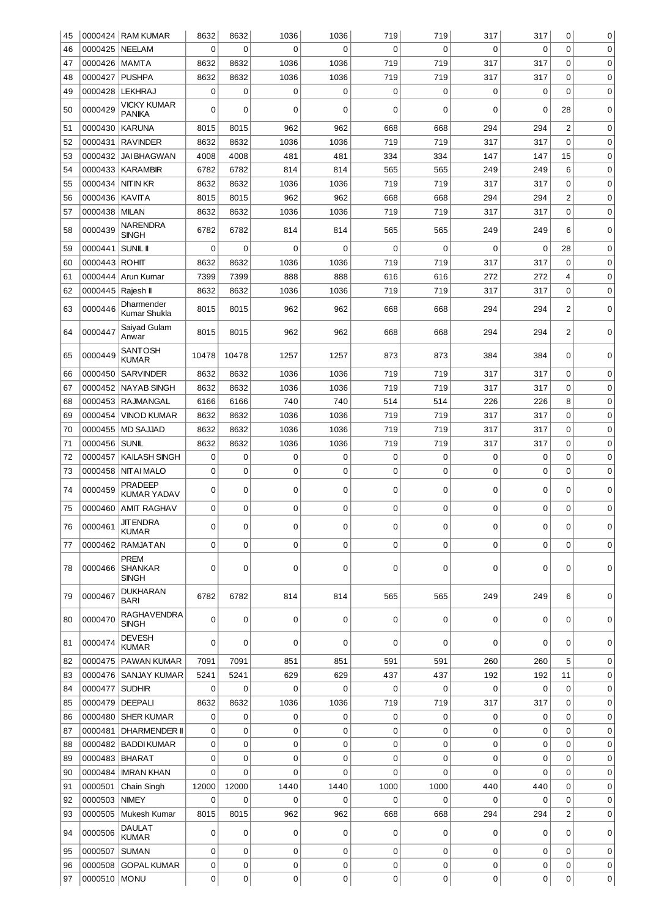| 45 |                     | 0000424 RAM KUMAR                  | 8632        | 8632     | 1036        | 1036     | 719         | 719         | 317         | 317         | 0              | 0           |
|----|---------------------|------------------------------------|-------------|----------|-------------|----------|-------------|-------------|-------------|-------------|----------------|-------------|
| 46 | 0000425             | NEELAM                             | $\mathbf 0$ | $\Omega$ | 0           | $\Omega$ | $\Omega$    | $\mathbf 0$ | $\Omega$    | $\mathbf 0$ | $\Omega$       | $\mathbf 0$ |
| 47 | 0000426             | <b>MAMTA</b>                       | 8632        | 8632     | 1036        | 1036     | 719         | 719         | 317         | 317         | 0              | 0           |
| 48 | 0000427             | <b>PUSHPA</b>                      | 8632        | 8632     | 1036        | 1036     | 719         | 719         | 317         | 317         | 0              | $\mathbf 0$ |
| 49 | 0000428             | <b>LEKHRAJ</b>                     | 0           | 0        | 0           | 0        | $\mathbf 0$ | 0           | 0           | $\mathbf 0$ | 0              | 0           |
| 50 | 0000429             | VICKY KUMAR<br><b>PANIKA</b>       | 0           | 0        | 0           | 0        | 0           | 0           | 0           | 0           | 28             | 0           |
| 51 | 0000430             | <b>KARUNA</b>                      | 8015        | 8015     | 962         | 962      | 668         | 668         | 294         | 294         | $\overline{c}$ | $\mathbf 0$ |
| 52 | 0000431             | RAVINDER                           | 8632        | 8632     | 1036        | 1036     | 719         | 719         | 317         | 317         | 0              | 0           |
| 53 | 0000432             | <b>JAI BHAGWAN</b>                 | 4008        | 4008     | 481         | 481      | 334         | 334         | 147         | 147         | 15             | 0           |
| 54 |                     | 0000433 KARAMBIR                   | 6782        | 6782     | 814         | 814      | 565         | 565         | 249         | 249         | 6              | 0           |
| 55 | 0000434             | NIT IN KR                          | 8632        | 8632     | 1036        | 1036     | 719         | 719         | 317         | 317         | 0              | 0           |
| 56 | 0000436             | KAVITA                             | 8015        | 8015     | 962         | 962      | 668         | 668         | 294         | 294         | $\overline{2}$ | 0           |
| 57 | 0000438             | <b>MILAN</b>                       | 8632        | 8632     | 1036        | 1036     | 719         | 719         | 317         | 317         | $\mathbf 0$    | 0           |
|    |                     | NARENDRA                           |             |          |             |          |             |             |             |             |                |             |
| 58 | 0000439             | <b>SINGH</b>                       | 6782        | 6782     | 814         | 814      | 565         | 565         | 249         | 249         | 6              | 0           |
| 59 | 0000441             | <b>SUNIL II</b>                    | $\mathbf 0$ | $\Omega$ | $\mathbf 0$ | 0        | $\mathbf 0$ | $\mathbf 0$ | $\mathbf 0$ | $\mathbf 0$ | 28             | $\mathbf 0$ |
| 60 | 0000443 ROHIT       |                                    | 8632        | 8632     | 1036        | 1036     | 719         | 719         | 317         | 317         | 0              | 0           |
| 61 | 0000444             | Arun Kumar                         | 7399        | 7399     | 888         | 888      | 616         | 616         | 272         | 272         | $\overline{4}$ | 0           |
| 62 | 0000445   Rajesh II |                                    | 8632        | 8632     | 1036        | 1036     | 719         | 719         | 317         | 317         | $\mathbf 0$    | 0           |
| 63 | 0000446             | Dharmender<br>Kumar Shukla         | 8015        | 8015     | 962         | 962      | 668         | 668         | 294         | 294         | $\overline{2}$ | 0           |
| 64 | 0000447             | Saiyad Gulam<br>Anwar              | 8015        | 8015     | 962         | 962      | 668         | 668         | 294         | 294         | 2              | 0           |
| 65 | 0000449             | SANTOSH<br><b>KUMAR</b>            | 10478       | 10478    | 1257        | 1257     | 873         | 873         | 384         | 384         | 0              | 0           |
| 66 | 0000450             | <b>SARVINDER</b>                   | 8632        | 8632     | 1036        | 1036     | 719         | 719         | 317         | 317         | 0              | 0           |
| 67 | 0000452             | NAYAB SINGH                        | 8632        | 8632     | 1036        | 1036     | 719         | 719         | 317         | 317         | $\mathbf 0$    | 0           |
| 68 | 0000453             | <b>RAJMANGAL</b>                   | 6166        | 6166     | 740         | 740      | 514         | 514         | 226         | 226         | 8              | 0           |
| 69 | 0000454             | <b>VINOD KUMAR</b>                 | 8632        | 8632     | 1036        | 1036     | 719         | 719         | 317         | 317         | $\mathbf 0$    | $\mathbf 0$ |
| 70 | 0000455             | <b>MD SAJJAD</b>                   | 8632        | 8632     | 1036        | 1036     | 719         | 719         | 317         | 317         | $\mathbf 0$    | 0           |
| 71 | 0000456             | <b>SUNIL</b>                       | 8632        | 8632     | 1036        | 1036     | 719         | 719         | 317         | 317         | $\mathbf 0$    | 0           |
| 72 | 0000457             | <b>KAILASH SINGH</b>               | 0           | 0        | 0           | 0        | $\mathbf 0$ | $\mathbf 0$ | 0           | 0           | 0              | 0           |
| 73 | 0000458             | NITAI MALO                         | 0           | 0        | 0           | 0        | $\mathbf 0$ | $\mathbf 0$ | $\mathbf 0$ | 0           | $\mathbf 0$    | 0           |
| 74 | 0000459             | <b>PRADEEP</b>                     | 0           | 0        | 0           | 0        | 0           | $\mathbf 0$ | 0           | 0           | 0              | 0           |
| 75 | 0000460             | KUMAR YADAV<br>AMIT RAGHAV         | 0           | 0        | 0           | 0        | 0           | $\mathbf 0$ | 0           | 0           | 0              | 0           |
| 76 | 0000461             | JIT ENDRA<br><b>KUMAR</b>          | 0           | 0        | 0           | 0        | 0           | 0           | 0           | 0           | 0              | 0           |
| 77 | 0000462             | <b>RAMJATAN</b>                    | 0           | 0        | 0           | 0        | 0           | 0           | 0           | 0           | $\Omega$       | 0           |
|    |                     | <b>PREM</b>                        |             |          |             |          |             |             |             |             |                |             |
| 78 |                     | 0000466   SHANKAR<br><b>SINGH</b>  | 0           | 0        | 0           | 0        | 0           | 0           | 0           | 0           | 0              | 0           |
| 79 | 0000467             | DUKHARAN<br><b>BARI</b>            | 6782        | 6782     | 814         | 814      | 565         | 565         | 249         | 249         | 6              | 0           |
| 80 | 0000470             | <b>RAGHAVENDRA</b><br><b>SINGH</b> | $\mathbf 0$ | 0        | 0           | 0        | 0           | $\Omega$    | 0           | 0           | 0              | 0           |
| 81 | 0000474             | <b>DEVESH</b><br><b>KUMAR</b>      | 0           | 0        | 0           | 0        | 0           | 0           | 0           | 0           | 0              | 0           |
| 82 | 0000475             | <b>PAWAN KUMAR</b>                 | 7091        | 7091     | 851         | 851      | 591         | 591         | 260         | 260         | 5              | 0           |
| 83 |                     | 0000476 SANJAY KUMAR               | 5241        | 5241     | 629         | 629      | 437         | 437         | 192         | 192         | 11             | 0           |
| 84 | 0000477             | SUDHIR                             | 0           | 0        | 0           | 0        | $\mathbf 0$ | 0           | 0           | 0           | 0              | 0           |
| 85 | 0000479   DEEPALI   |                                    | 8632        | 8632     | 1036        | 1036     | 719         | 719         | 317         | 317         | $\Omega$       | $\mathbf 0$ |
| 86 | 0000480             | <b>SHER KUMAR</b>                  | 0           | 0        | 0           | 0        | 0           | 0           | 0           | 0           | 0              | 0           |
| 87 | 0000481             | <b>DHARMENDER II</b>               | 0           | 0        | 0           | 0        | 0           | 0           | 0           | 0           | $\Omega$       | 0           |
| 88 |                     | 0000482   BADDI KUMAR              | 0           | 0        | 0           | 0        | 0           | 0           | 0           | 0           | 0              | 0           |
| 89 | 0000483   BHARAT    |                                    | 0           | 0        | 0           | 0        | $\mathbf 0$ | $\mathbf 0$ | 0           | 0           | 0              | 0           |
| 90 | 0000484             | IMRAN KHAN                         | 0           | 0        | 0           | 0        | 0           | $\Omega$    | 0           | 0           | 0              | 0           |
| 91 | 0000501             | Chain Singh                        | 12000       | 12000    | 1440        | 1440     | 1000        | 1000        | 440         | 440         | $\Omega$       | 0           |
| 92 | 0000503             | <b>NIMEY</b>                       | 0           | 0        | 0           | 0        | 0           | $\Omega$    | 0           | 0           | 0              | 0           |
| 93 | 0000505             | Mukesh Kumar                       | 8015        | 8015     | 962         | 962      | 668         | 668         | 294         | 294         | $\overline{2}$ | $\mathbf 0$ |
| 94 | 0000506             | <b>DAULAT</b><br><b>KUMAR</b>      | 0           | 0        | 0           | 0        | 0           | 0           | 0           | 0           | 0              | 0           |
| 95 | 0000507             | <b>SUMAN</b>                       | 0           | 0        | 0           | 0        | $\mathbf 0$ | 0           | 0           | 0           | 0              | 0           |
| 96 | 0000508             | <b>GOPAL KUMAR</b>                 | 0           | 0        | 0           | 0        | $\mathbf 0$ | 0           | $\mathbf 0$ | 0           | 0              | 0           |
| 97 | 0000510             | MONU                               | 0           | 0        | 0           | 0        | $\mathbf 0$ | 0           | 0           | 0           | $\mathbf 0$    | 0           |
|    |                     |                                    |             |          |             |          |             |             |             |             |                |             |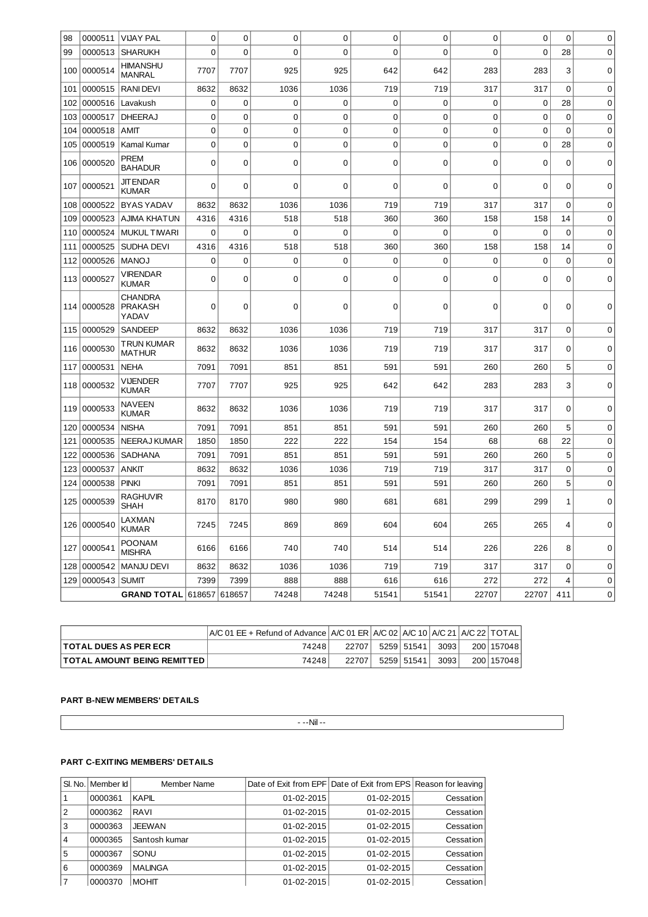| 98                        | 0000511           | <b>VIJAY PAL</b>                          | $\mathbf 0$ | $\mathbf 0$ | $\mathbf 0$ | $\mathbf 0$ | 0              | $\mathbf 0$ | $\mathbf 0$ | 0        | 0              | 0           |
|---------------------------|-------------------|-------------------------------------------|-------------|-------------|-------------|-------------|----------------|-------------|-------------|----------|----------------|-------------|
| 99                        | 0000513           | <b>SHARUKH</b>                            | $\Omega$    | $\Omega$    | $\Omega$    | 0           | 0              | 0           | $\Omega$    | $\Omega$ | 28             | $\mathbf 0$ |
| 100                       | 0000514           | <b>HIMANSHU</b><br><b>MANRAL</b>          | 7707        | 7707        | 925         | 925         | 642            | 642         | 283         | 283      | 3              | 0           |
| 101                       | 0000515           | <b>RANIDEVI</b>                           | 8632        | 8632        | 1036        | 1036        | 719            | 719         | 317         | 317      | 0              | 0           |
| 102                       | 0000516           | Lavakush                                  | $\mathbf 0$ | 0           | $\mathbf 0$ | $\mathbf 0$ | 0              | $\Omega$    | $\mathbf 0$ | 0        | 28             | $\mathbf 0$ |
| 103                       | 0000517           | <b>DHEERAJ</b>                            | 0           | 0           | 0           | 0           | 0              | 0           | $\mathbf 0$ | 0        | 0              | 0           |
| 104                       | 0000518           | <b>AMIT</b>                               | 0           | $\mathbf 0$ | $\mathbf 0$ | $\mathbf 0$ | $\overline{0}$ | $\mathbf 0$ | $\mathbf 0$ | $\Omega$ | $\Omega$       | 0           |
| 105                       | 0000519           | Kamal Kumar                               | 0           | 0           | $\mathbf 0$ | $\mathbf 0$ | 0              | 0           | $\mathbf 0$ | 0        | 28             | 0           |
| 106                       | 0000520           | <b>PREM</b><br><b>BAHADUR</b>             | 0           | 0           | $\mathbf 0$ | $\mathbf 0$ | 0              | 0           | $\mathbf 0$ | 0        | 0              | 0           |
| 107                       | 0000521           | JIT ENDAR<br><b>KUMAR</b>                 | $\Omega$    | $\Omega$    | $\Omega$    | 0           | 0              | $\Omega$    | $\mathbf 0$ | $\Omega$ | $\Omega$       | $\mathbf 0$ |
| 108                       | 0000522           | <b>BYAS YADAV</b>                         | 8632        | 8632        | 1036        | 1036        | 719            | 719         | 317         | 317      | 0              | 0           |
| 109                       | 0000523           | AJIMA KHATUN                              | 4316        | 4316        | 518         | 518         | 360            | 360         | 158         | 158      | 14             | 0           |
| 110                       | 0000524           | <b>MUKUL TIWARI</b>                       | 0           | 0           | 0           | 0           | 0              | $\Omega$    | $\mathbf 0$ | 0        | 0              | 0           |
| 111                       | 0000525           | SUDHA DEVI                                | 4316        | 4316        | 518         | 518         | 360            | 360         | 158         | 158      | 14             | $\mathbf 0$ |
| 112                       | 0000526           | <b>MANOJ</b>                              | 0           | 0           | 0           | 0           | 0              | 0           | $\mathbf 0$ | 0        | 0              | 0           |
| 113                       | 0000527           | <b>VIRENDAR</b><br><b>KUMAR</b>           | 0           | 0           | 0           | 0           | 0              | 0           | $\mathbf 0$ | 0        | 0              | 0           |
| 114                       | 0000528           | <b>CHANDRA</b><br><b>PRAKASH</b><br>YADAV | 0           | 0           | 0           | 0           | 0              | 0           | $\mathbf 0$ | 0        | 0              | 0           |
| 115                       | 0000529           | <b>SANDEEP</b>                            | 8632        | 8632        | 1036        | 1036        | 719            | 719         | 317         | 317      | $\Omega$       | $\mathbf 0$ |
|                           | 116   0000530     | TRUN KUMAR<br><b>MATHUR</b>               | 8632        | 8632        | 1036        | 1036        | 719            | 719         | 317         | 317      | 0              | 0           |
| 117                       | 0000531           | <b>NEHA</b>                               | 7091        | 7091        | 851         | 851         | 591            | 591         | 260         | 260      | 5              | $\mathbf 0$ |
|                           | 118 0000532       | VIJENDER<br><b>KUMAR</b>                  | 7707        | 7707        | 925         | 925         | 642            | 642         | 283         | 283      | 3              | 0           |
| 119                       | 0000533           | NAVEEN<br><b>KUMAR</b>                    | 8632        | 8632        | 1036        | 1036        | 719            | 719         | 317         | 317      | $\Omega$       | $\mathbf 0$ |
| 120                       | 0000534           | <b>NISHA</b>                              | 7091        | 7091        | 851         | 851         | 591            | 591         | 260         | 260      | 5              | 0           |
| 121                       | 0000535           | <b>NEERAJ KUMAR</b>                       | 1850        | 1850        | 222         | 222         | 154            | 154         | 68          | 68       | 22             | $\mathbf 0$ |
| 122                       | 0000536           | <b>SADHANA</b>                            | 7091        | 7091        | 851         | 851         | 591            | 591         | 260         | 260      | 5              | 0           |
| 123                       | 0000537           | <b>ANKIT</b>                              | 8632        | 8632        | 1036        | 1036        | 719            | 719         | 317         | 317      | $\Omega$       | 0           |
| 124                       | 0000538           | <b>PINKI</b>                              | 7091        | 7091        | 851         | 851         | 591            | 591         | 260         | 260      | 5              | 0           |
| 125                       | 0000539           | <b>RAGHUVIR</b><br><b>SHAH</b>            | 8170        | 8170        | 980         | 980         | 681            | 681         | 299         | 299      | 1              | 0           |
|                           | 126 0000540       | LAXMAN<br><b>KUMAR</b>                    | 7245        | 7245        | 869         | 869         | 604            | 604         | 265         | 265      | 4              | 0           |
| 127                       | 0000541           | <b>POONAM</b><br><b>MISHRA</b>            | 6166        | 6166        | 740         | 740         | 514            | 514         | 226         | 226      | 8              | 0           |
| 128                       |                   | 0000542   MANJU DEVI                      | 8632        | 8632        | 1036        | 1036        | 719            | 719         | 317         | 317      | 0              | 0           |
|                           | 129 0000543 SUMIT |                                           | 7399        | 7399        | 888         | 888         | 616            | 616         | 272         | 272      | $\overline{4}$ | 0           |
| GRAND TOTAL 618657 618657 |                   |                                           |             |             | 74248       | 74248       | 51541          | 51541       | 22707       | 22707    | 411            | 0           |

|                                      | $\mathsf{\mid}$ A/C 01 EE + Refund of Advance $\mathsf{\mid}$ A/C 01 ER $\mathsf{\mid}$ A/C 02 $\mathsf{\mid}$ A/C 10 $\mathsf{\mid}$ A/C 21 $\mathsf{\mid}$ A/C 22 $\mathsf{\mid}$ TOTAL $\mathsf{\mid}$ |       |            |       |              |
|--------------------------------------|-----------------------------------------------------------------------------------------------------------------------------------------------------------------------------------------------------------|-------|------------|-------|--------------|
| <b>ITOTAL DUES AS PER ECR</b>        | 74248                                                                                                                                                                                                     | 22707 | 5259 51541 | 30931 | 200   157048 |
| <b>TOTAL AMOUNT BEING REMITTED I</b> | 74248                                                                                                                                                                                                     | 22707 | 5259 51541 | 3093  | 200   157048 |

# **PART B-NEW MEMBERS' DETAILS**

 $\mathbf{I}$ 

 $- -$ Nil  $-$ 

## **PART C-EXITING MEMBERS' DETAILS**

|                | SI. No.   Member Id | Member Name    |                  | Date of Exit from EPF Date of Exit from EPS Reason for leaving |           |
|----------------|---------------------|----------------|------------------|----------------------------------------------------------------|-----------|
|                | 0000361             | KAPIL          | $01 - 02 - 2015$ | 01-02-2015                                                     | Cessation |
| 2              | 0000362             | RAVI           | $01 - 02 - 2015$ | 01-02-2015                                                     | Cessation |
| 3              | 0000363             | <b>JEEWAN</b>  | 01-02-2015       | 01-02-2015                                                     | Cessation |
| $\overline{4}$ | 0000365             | Santosh kumar  | $01 - 02 - 2015$ | 01-02-2015                                                     | Cessation |
| 5              | 0000367             | SONU           | $01 - 02 - 2015$ | 01-02-2015                                                     | Cessation |
| 6              | 0000369             | <b>MALINGA</b> | 01-02-2015       | 01-02-2015                                                     | Cessation |
| 17             | 0000370             | <b>MOHIT</b>   | $01 - 02 - 2015$ | $01 - 02 - 2015$                                               | Cessation |